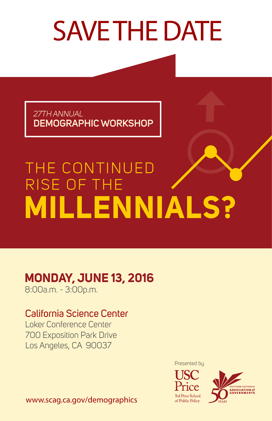# SAVE THE DATE

*27TH ANNUAL* **DEMOGRAPHIC WORKSHOP**

## THE CONTINUED RISE OF THE **MILLENNIALS?**

#### **MONDAY, JUNE 13, 2016**

8:00a.m. - 3:00p.m.

#### California Science Center

Loker Conference Center 700 Exposition Park Drive Los Angeles, CA 90037

Presented by





www.scag.ca.gov/demographics